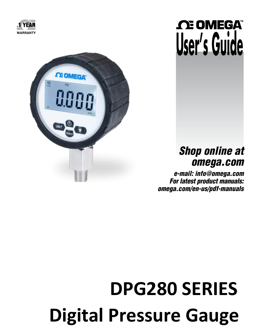



# *C***E OMEGA User's Guide**

## *Shop online at omega.com*

*e-mail: info@omega.com For latest product manuals:*  [omega.com/en-us/pdf-manuals](https://omega.com/en-us/pdf-manuals)

# **Digital Pressure Gauge DPG280 SERIES**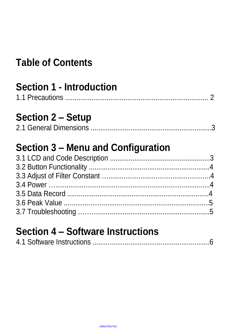# **Table of Contents**

# **Section 1 - Introduction**

1.1 Precautions ............................................................................ 2

## **Section 2 – Setup**

# **Section 3 – Menu and Configuration**

# **Section 4 – Software Instructions**

|--|--|--|--|--|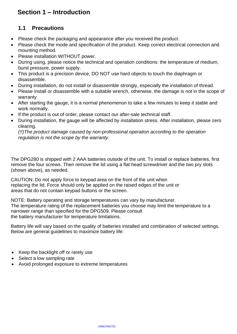### **Section 1 – Introduction**

### **1.1 Precautions**

- Please check the packaging and appearance after you received the product.
- Please check the mode and specification of the product. Keep correct electrical connection and mounting method.
- Please installation WITHOUT power.
- During using, please notice the technical and operation conditions: the temperature of medium, burst pressure, power supply.
- This product is a precision device, DO NOT use hard objects to touch the diaphragm or disassemble.
- During installation, do not install or disassemble strongly, especially the installation of thread.
- Please install or disassemble with a suitable wrench, otherwise, the damage is not in the scope of warranty.
- After starting the gauge, it is a normal phenomenon to take a few minutes to keep it stable and work normally.
- If the product is out of order, please contact our after-sale technical staff.
- During installation, the gauge will be affected by installation stress. After installation, please zero clearing.

*(!!)The product damage caused by non-professional operation according to the operation regulation is not the scope by the warranty.*

The DPG280 is shipped with 2 AAA batteries outside of the unit. To install or replace batteries, first remove the four screws. Then remove the lid using a flat head screwdriver and the two pry slots (shown above), as needed.

CAUTION: Do not apply force to keypad area on the front of the unit when replacing the lid. Force should only be applied on the raised edges of the unit or areas that do not contain keypad buttons or the screen.

NOTE: Battery operating and storage temperatures can vary by manufacturer. The temperature rating of the replacement batteries you choose may limit the temperature to a narrower range than specified for the DPG509. Please consult the battery manufacturer for temperature limitations.

Battery life will vary based on the quality of batteries installed and combination of selected settings. Below are general guidelines to maximize battery life:

- Keep the backlight off or rarely use
- Select a low sampling rate
- Avoid prolonged exposure to extreme temperatures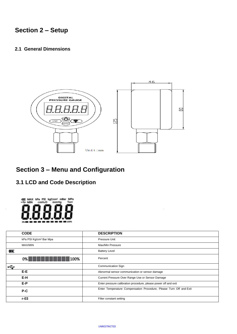### **Section 2 – Setup**

#### **2.1 General Dimensions**



### **Section 3 – Menu and Configuration**

**3.1 LCD and Code Description** 



| <b>CODE</b>                        | <b>DESCRIPTION</b>                                                 |
|------------------------------------|--------------------------------------------------------------------|
| kPa PSI Kg/cm <sup>2</sup> Bar Mpa | Pressure Unit                                                      |
| MAX/MIN                            | Max/Min Pressure                                                   |
| Ø                                  | <b>Battery Level</b>                                               |
| 100%<br>0%                         | Percent                                                            |
| r÷                                 | <b>Communication Sign</b>                                          |
| E-E                                | Abnormal sensor communication or sensor damage                     |
| E-H                                | Current Pressure Over Range Use or Sensor Damage                   |
| E-P                                | Enter pressure calibration procedure, please power off and exit    |
| P-C                                | Enter Temperature Compensation Procedure, Please Turn Off and Exit |
| $r-03$                             | Filter constant setting                                            |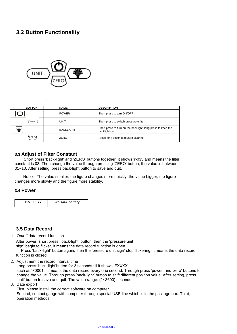### **3.2 Button Functionality**



| <b>BUTTON</b> | <b>NAME</b>      | <b>DESCRIPTION</b>                                                           |
|---------------|------------------|------------------------------------------------------------------------------|
|               | <b>POWER</b>     | Short press to turn ON/OFF                                                   |
| UNIT          | UNIT             | Short press to switch pressure units                                         |
| عد            | <b>BACKLIGHT</b> | Short press to turn on the backlight; long press to keep the<br>backlight on |
| ZERO          | ZERO             | Press for 4 seconds to zero clearing                                         |

#### **3.3 Adjust of Filter Constant**

 Short press 'back-light' and 'ZERO' buttons together, it shows 'r-03', and means the filter constant is 03. Then change the value through pressing 'ZERO' button, the value is between 01~10. After setting, press back-light button to save and quit.

Notice: The value smaller, the figure changes more quickly; the value bigger, the figure changes more slowly and the figure more stability.

#### **3.4 Power**

| <b>BATTERY</b> | Two AAA battery |
|----------------|-----------------|
|                |                 |

#### **3.5 Data Record**

1. On/off data record function

After power, short press ' back-light' button, then the 'pressure unit sign' begin to flicker, it means the data record function is open.

Press 'back-light' button again, then the 'pressure unit sign' stop flickering, it means the data record function is closed.

2. Adjustment the record interval time

Long press 'back-light'button for 3 seconds till it shows 'FXXXX', such as 'F0001', it means the data record every one second. Through press 'power' and 'zero' buttons to change the value. Through press 'back-light' button to shift different position value. After setting, press 'unit' button to save and quit. The value range: (1~3600) seconds.

3. Date export

First, please install the correct software on computer.

Second, contact gauge with computer through special USB-line which is in the package box. Third, operation methods.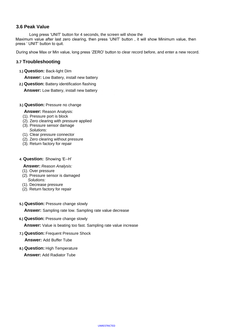#### **3.6 Peak Value**

Long press 'UNIT' button for 4 seconds, the screen will show the Maximum value after last zero clearing, then press 'UNIT' button , it will show Minimum value, then press ' UNIT' button to quit.

During show Max or Min value, long press 'ZERO' button to clear record before, and enter a new record.

#### **3.7 Troubleshooting**

**1.) Question:** Back-light Dim

**Answer:** Low Battery, install new battery

**2.) Question:** Battery identification flashing

**Answer:** Low Battery, install new battery

- **3.) Question:** Pressure no change
	- **Answer:** Reason Analysis:
	- (1). Pressure port is block
	- (2). Zero clearing with pressure applied
	- (3). Pressure sensor damage *Solutions:*
	- (1). Clear pressure connector
	- (2). Zero clearing without pressure
	- (3). Return factory for repair

#### **4**. **Question:** Showing 'E--H'

- **Answer:** *Reason Analysis:*
- (1). Over pressure
- (2). Pressure sensor is damaged *Solutions:*
- (1). Decrease pressure
- (2). Return factory for repair
- **5.) Question:** Pressure change slowly

**Answer:** Sampling rate low. Sampling rate value decrease

**6.) Question:** Pressure change slowly

**Answer:** Value is beating too fast. Sampling rate value increase

**7.) Question:** Frequent Pressure Shock

**Answer:** Add Buffer Tube

**8.) Question:** High Temperature

**Answer:** Add Radiator Tube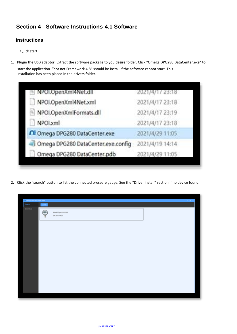### **Section 4 - Software Instructions 4.1 Software**

#### **Instructions**

ⅰQuick start

1. Plugin the USB adaptor. Extract the software package to you desire folder. Click "Omega DPG280 DataCenter.exe" to

start the application. "dot net Framework 4.8" should be install if the software cannot start. This installation has been placed in the drivers folder.

| NPOI.OpenXml4Net.dll               | 2021/4/17 23:18 |
|------------------------------------|-----------------|
| NPOI.OpenXml4Net.xml               | 2021/4/17 23:18 |
| NPOI.OpenXmlFormats.dll            | 2021/4/17 23:19 |
| NPOLxml                            | 2021/4/17 23:18 |
| ∩i Omega DPG280 DataCenter.exe     | 2021/4/29 11:05 |
| Omega DPG280 DataCenter.exe.config | 2021/4/19 14:14 |
| Omega DPG280 DataCenter.pdb        | 2021/4/29 11:05 |

2. Click the "search" button to list the connected pressure gauge. See the "Driver install" section if no device found.

|                   | C. Desega OrG200 DataConter<br><b>STATE OF STATE OF STATE</b> |  |  |  |  |
|-------------------|---------------------------------------------------------------|--|--|--|--|
| $\mathsf{Sumbel}$ | Search.                                                       |  |  |  |  |
| <b>Download</b>   | Model Type DPGG200<br>106201110020                            |  |  |  |  |
|                   |                                                               |  |  |  |  |
|                   |                                                               |  |  |  |  |
|                   |                                                               |  |  |  |  |
|                   |                                                               |  |  |  |  |
|                   |                                                               |  |  |  |  |
|                   |                                                               |  |  |  |  |
|                   |                                                               |  |  |  |  |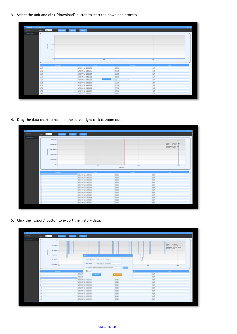3. Select the unit and click "download" button to start the download process.

| C: Omega DPG250 DataCenter |                 |                  |                                            |                |              | <b>COLOR</b> |
|----------------------------|-----------------|------------------|--------------------------------------------|----------------|--------------|--------------|
| Search                     | Unit:<br>kPa -> | <b>commissed</b> | Clear 1<br>Export                          |                |              |              |
| <b>Download</b>            |                 |                  |                                            |                |              |              |
|                            |                 | $\mathbf{H}$ :   |                                            |                |              |              |
|                            |                 |                  |                                            |                |              |              |
|                            |                 | (0, 0)           |                                            |                |              |              |
|                            |                 |                  |                                            |                |              |              |
|                            |                 |                  |                                            |                |              |              |
|                            |                 | $0.6 -$          |                                            |                |              |              |
|                            |                 |                  |                                            |                |              |              |
|                            |                 | $0.4 -$          |                                            |                |              |              |
|                            |                 |                  |                                            |                |              |              |
|                            |                 | $0.2 -$          |                                            |                |              |              |
|                            |                 |                  |                                            |                |              |              |
|                            |                 |                  |                                            |                |              |              |
|                            |                 |                  |                                            |                |              |              |
|                            |                 | $\mathbf{c}$     | 206                                        |                | $-400$       |              |
|                            |                 |                  |                                            | Dear Point     |              |              |
|                            |                 |                  |                                            |                |              |              |
|                            |                 | Number           | Date:                                      | Pressure       | <b>Almit</b> |              |
|                            | 511             |                  | 2021-04-29 14:32:20                        | 0.000          | kPa          |              |
|                            | 512             |                  | 2021-04-29 14:32:21                        | 0.000          | <b>IkPa</b>  |              |
|                            | 513             |                  | 2021-04-29 14:32:22                        | 0.000          | kPa          |              |
|                            | 514             |                  | 2021-04-29 14:32:23                        | 0.000          | kPa          |              |
|                            | 515             |                  | 2021-04-29 14:32:24                        | 0.000          | kPa          |              |
|                            | 516             |                  | 2021-04-29 14:12-25                        | 0.000          | kPa          |              |
|                            | 517             |                  | 2021-04-29 14:32:26                        | 0.000          | kPa          |              |
|                            | <b>518</b>      |                  | 2021-04-29 14:32:27                        | 0.000<br>33.0% | kPa          |              |
|                            | 519             |                  | 2021-04-29 14:32:28                        |                | kPa          |              |
|                            | 520<br>521      |                  | 2021-04-29 14:12:29                        | 0.000<br>0.000 | kPa<br>kPa   |              |
|                            |                 |                  | 2021-04-29 14:32:30                        |                |              |              |
|                            | 522<br>523      |                  | 2021-04-29 14:32:31                        | 0.000<br>0.000 | kPa<br>kPa   |              |
|                            | 524             |                  | 2021-04-29 14:32:32<br>2021-04-29 14:32:33 | 0.000          | kPa          |              |
|                            | 525             |                  | 2021-04-29 14:32:34                        | 0.000          | kPa          |              |
|                            | 526             |                  |                                            | 0.000          | kPa          |              |
|                            | 527             |                  | 2021-04-29 14:32:35                        | 0.000          | kPa          |              |
|                            | 526             |                  | 2021-04-29 14:32:36<br>2021-04-29 14:32:37 | 0.000          | kPa          |              |

4. Drag the data chart to zoom in the curve, right click to zoom out.



5. Click the "Export" button to export the history data.

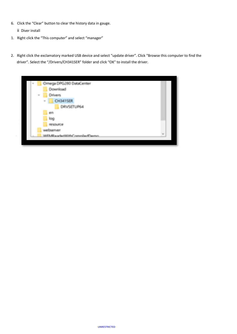6. Click the "Clear" button to clear the history data in gauge.

ⅱ Diver install

i.

- 1. Right click the "This computer" and select "manager"
- 2. Right click the exclamatory marked USB device and select "update driver". Click "Browse this computer to find the driver". Select the "/Drivers/CH341SER" folder and click "OK" to install the driver.

| w |    | Ornega DPG280 DataCenter  |                         |
|---|----|---------------------------|-------------------------|
|   |    | Download                  |                         |
|   | W. | <b>Drivers</b>            |                         |
|   |    | <b>CH341SER</b><br>W.     |                         |
|   |    | DRYSETUP64                |                         |
|   |    | en                        |                         |
|   |    | log                       |                         |
|   |    | <b>RESOURCE</b>           |                         |
|   |    | Countyring                |                         |
|   |    | WEMPAAGAANS Complain Camp | $\overline{\mathbf{u}}$ |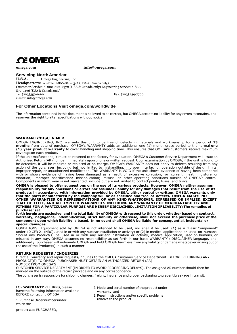

**omega.com [info@omega.com](mailto:info@omega.com)**

#### **Servicing North America:**

**U.S.A.** Omega Engineering, Inc. **Headquarters:**Toll-Free: 1-800-826-6342 (USA & Canada only) Customer Service: 1-800-622-2378 (USA & Canada only) Engineering Service: 1-800- 872-9436 (USA & Canada only) Tel:(203)359-1660 Fax: (203) 359-7700 e-mail: [info@omega.com](mailto:info@omega.com)

#### **For Other Locations Visit omega.com/worldwide**

The information contained in this document is believed to be correct, but OMEGA accepts no liability for any errors it contains, and reserves the right to alter specifications without notice.

#### **WARRANTY/DISCLAIMER**

OMEGA ENGINEERING, INC. warrants this unit to be free of defects in materials and workmanship for a period of **13 months** from date of purchase. OMEGA's WARRANTY adds an additional one (1) month grace period to the normal **one (1) year product warranty** to cover handling and shipping time. This ensures that OMEGA's customers receive maximum coverage on each product.

If the unit malfunctions, it must be returned to the factory for evaluation. OMEGA's Customer Service Department will issue an Authorized Return (AR) number immediately upon phone or written request. Upon examination by OMEGA, if the unit is found to be defective, it will be repaired or replaced at no charge. OMEGA's WARRANTY does not apply to defects resulting from any action of the purchaser, including but not limited to mishandling, improper interfacing, operation outside of design limits, improper repair, or unauthorized modification. This WARRANTY is VOID if the unit shows evidence of having been tampered with or shows evidence of having been damaged as a result of excessive corrosion; or current, heat, moisture or vibration; improper specification; misapplication; misuse or other operating conditions outside of OMEGA's control. Components in which wear is not warranted, include but are not limited to contact points, fuses, and triacs.

**OMEGA is pleased to offer suggestions on the use of its various products. However, OMEGA neither assumes responsibility for any omissions or errors nor assumes liability for any damages that result from the use of its products in accordance with information provided by OMEGA, either verbal or written. OMEGA warrants only that the parts manufactured by the company will be as specified and free of defects. OMEGA MAKES NO OTHER WARRANTIES OR REPRESENTATIONS OF ANY KIND WHATSOEVER, EXPRESSED OR IMPLIED, EXCEPT THAT OF TITLE, AND ALL IMPLIED WARRANTIES INCLUDING ANY WARRANTY OF MERCHANTABILITY AND FITNESS FOR A PARTICULAR PURPOSE ARE HEREBY DISCLAIMED. LIMITATION OF LIABILITY: The remedies of purchaser set** 

**forth herein are exclusive, and the total liability of OMEGA with respect to this order, whether based on contract, warranty, negligence, indemnification, strict liability or otherwise, shall not exceed the purchase price of the component upon which liability is based. In no event shall OMEGA be liable for consequential, incidental or special damages.** 

CONDITIONS: Equipment sold by OMEGA is not intended to be used, nor shall it be used: (1) as a "Basic Component" under 10 CFR 21 (NRC), used in or with any nuclear installation or activity; or (2) in medical applications or used on humans. Should any Product(s) be used in or with any nuclear installation or activity, medical application, used on humans, or misused in any way, OMEGA assumes no responsibility as set forth in our basic WARRANTY / DISCLAIMER language, and, additionally, purchaser will indemnify OMEGA and hold OMEGA harmless from any liability or damage whatsoever arising out of the use of the Product(s) in such a manner.

#### **RETURN REQUESTS / INQUIRIES**

Direct all warranty and repair requests/inquiries to the OMEGA Customer Service Department. BEFORE RETURNING ANY PRODUCT(S) TO OMEGA, PURCHASER MUST OBTAIN AN AUTHORIZED RETURN (AR) NUMBER FROM OMEGA'S

CUSTOMER SERVICE DEPARTMENT (IN ORDER TO AVOID PROCESSING DELAYS). The assigned ARnumber should then be marked on the outside of the return package and on any correspondence.

The purchaser is responsible for shipping charges, freight, insurance and proper packaging to prevent breakage in transit.

FOR **WARRANTY** RETURNS, please have the following information available BEFORE contacting OMEGA:

1. Purchase Order number under which the

product was PURCHASED,

- 2. Model and serial number of the product under warranty, and
- 3. Repair instructions and/or specific problems relative to the product.